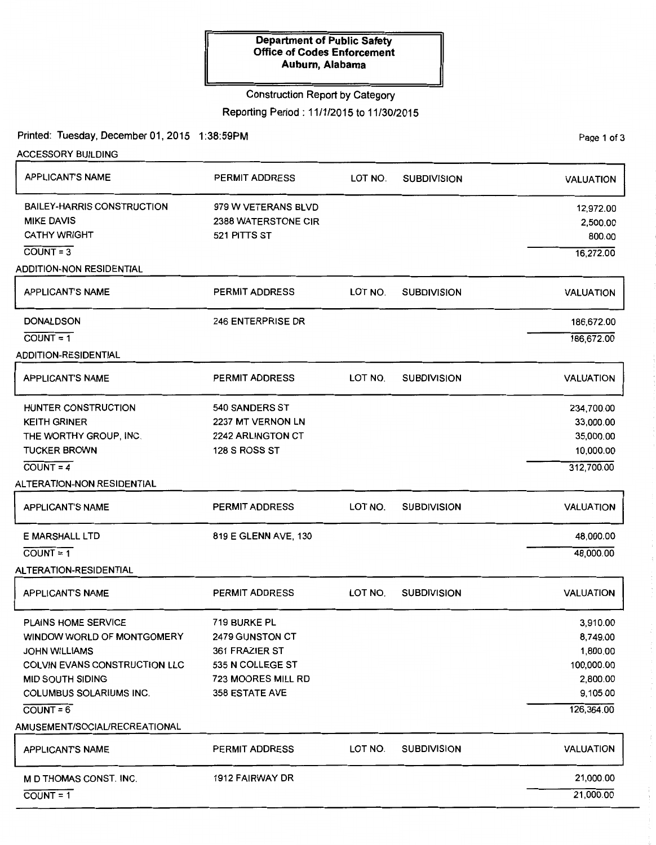### Construction Report by Category

Reporting Period : 11/1/2015 to 11/30/2015

Printed: Tuesday, December 01, 2015 1:38:59PM

PaQe 1 of 3

| <b>ACCESSORY BUILDING</b>            |                       |         |                    |                  |
|--------------------------------------|-----------------------|---------|--------------------|------------------|
| <b>APPLICANT'S NAME</b>              | <b>PERMIT ADDRESS</b> | LOT NO. | <b>SUBDIVISION</b> | <b>VALUATION</b> |
| <b>BAILEY-HARRIS CONSTRUCTION</b>    | 979 W VETERANS BLVD   |         |                    | 12,972.00        |
| <b>MIKE DAVIS</b>                    | 2388 WATERSTONE CIR   |         |                    | 2,500.00         |
| <b>CATHY WRIGHT</b>                  | 521 PITTS ST          |         |                    | 800.00           |
| $COUNT = 3$                          |                       |         |                    | 16,272.00        |
| <b>ADDITION-NON RESIDENTIAL</b>      |                       |         |                    |                  |
| <b>APPLICANT'S NAME</b>              | <b>PERMIT ADDRESS</b> | LOT NO. | <b>SUBDIVISION</b> | <b>VALUATION</b> |
| <b>DONALDSON</b>                     | 246 ENTERPRISE DR     |         |                    | 186,672.00       |
| $COUNT = 1$                          |                       |         |                    | 186,672.00       |
| <b>ADDITION-RESIDENTIAL</b>          |                       |         |                    |                  |
| <b>APPLICANT'S NAME</b>              | <b>PERMIT ADDRESS</b> | LOT NO. | <b>SUBDIVISION</b> | <b>VALUATION</b> |
| HUNTER CONSTRUCTION                  | <b>540 SANDERS ST</b> |         |                    | 234,700.00       |
| <b>KEITH GRINER</b>                  | 2237 MT VERNON LN     |         |                    | 33,000.00        |
| THE WORTHY GROUP, INC.               | 2242 ARLINGTON CT     |         |                    | 35,000.00        |
| <b>TUCKER BROWN</b>                  | 128 S ROSS ST         |         |                    | 10,000.00        |
| $COUNT = 4$                          |                       |         |                    | 312,700.00       |
| ALTERATION-NON RESIDENTIAL           |                       |         |                    |                  |
| <b>APPLICANT'S NAME</b>              | <b>PERMIT ADDRESS</b> | LOT NO. | <b>SUBDIVISION</b> | <b>VALUATION</b> |
| <b>E MARSHALL LTD</b>                | 819 E GLENN AVE, 130  |         |                    | 48,000.00        |
| $COUNT = 1$                          |                       |         |                    | 48,000.00        |
| ALTERATION-RESIDENTIAL               |                       |         |                    |                  |
| APPLICANT'S NAME                     | PERMIT ADDRESS        | LOT NO. | <b>SUBDIVISION</b> | <b>VALUATION</b> |
| <b>PLAINS HOME SERVICE</b>           | 719 BURKE PL          |         |                    | 3,910.00         |
| WINDOW WORLD OF MONTGOMERY           | 2479 GUNSTON CT       |         |                    | 8,749.00         |
| <b>JOHN WILLIAMS</b>                 | 361 FRAZIER ST        |         |                    | 1,800.00         |
| <b>COLVIN EVANS CONSTRUCTION LLC</b> | 535 N COLLEGE ST      |         |                    | 100,000.00       |
| <b>MID SOUTH SIDING</b>              | 723 MOORES MILL RD    |         |                    | 2,800.00         |
| <b>COLUMBUS SOLARIUMS INC.</b>       | 358 ESTATE AVE        |         |                    | 9,105.00         |
| $COUNT = 6$                          |                       |         |                    | 126,364.00       |
| AMUSEMENT/SOCIAL/RECREATIONAL        |                       |         |                    |                  |
| <b>APPLICANT'S NAME</b>              | <b>PERMIT ADDRESS</b> | LOT NO. | <b>SUBDIVISION</b> | <b>VALUATION</b> |
| M D THOMAS CONST. INC.               | 1912 FAIRWAY DR       |         |                    | 21,000.00        |
| $COUNT = 1$                          |                       |         |                    | 21,000.00        |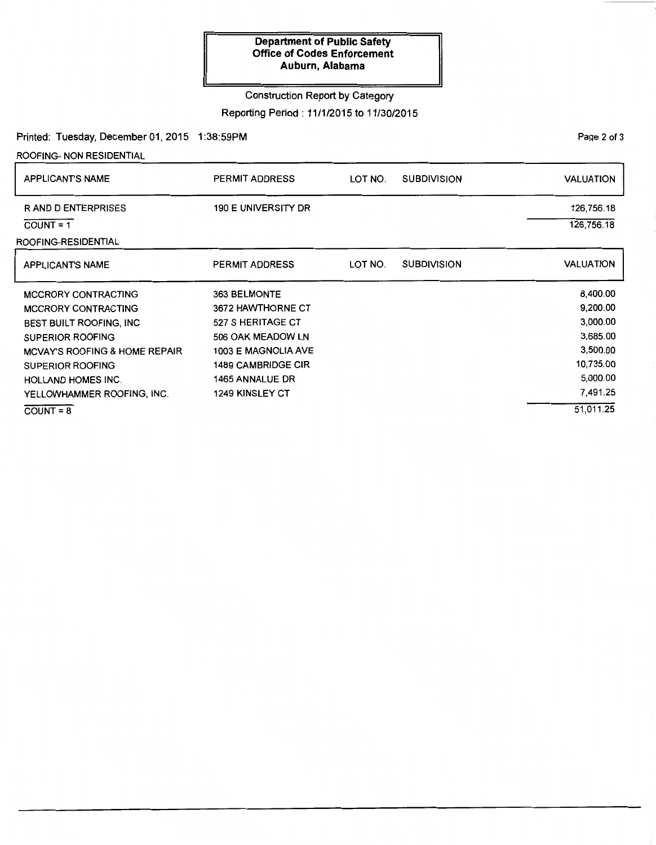## Construction Report by Category

Reporting Period : 11/1/2015 to 11/30/2015

Printed: Tuesday, December 01, 2015 1:38:59PM

ROOFING- NON RESIDENTIAL

| PERMIT ADDRESS             | LOT NO. | <b>SUBDIVISION</b> | VALUATION        |
|----------------------------|---------|--------------------|------------------|
| <b>190 E UNIVERSITY DR</b> |         |                    | 126,756.18       |
|                            |         |                    | 126,756.18       |
|                            |         |                    |                  |
| <b>PERMIT ADDRESS</b>      | LOT NO. | <b>SUBDIVISION</b> | <b>VALUATION</b> |
| 363 BELMONTE               |         |                    | 8,400.00         |
| 3672 HAWTHORNE CT          |         |                    | 9,200.00         |
| 527 S HERITAGE CT          |         |                    | 3,000.00         |
| 506 OAK MEADOW LN          |         |                    | 3,685.00         |
| 1003 E MAGNOLIA AVE        |         |                    | 3,500.00         |
| <b>1489 CAMBRIDGE CIR</b>  |         |                    | 10,735.00        |
| <b>1465 ANNALUE DR</b>     |         |                    | 5,000.00         |
| <b>1249 KINSLEY CT</b>     |         |                    | 7,491.25         |
|                            |         |                    | 51,011.25        |
|                            |         |                    |                  |

Page 2 of 3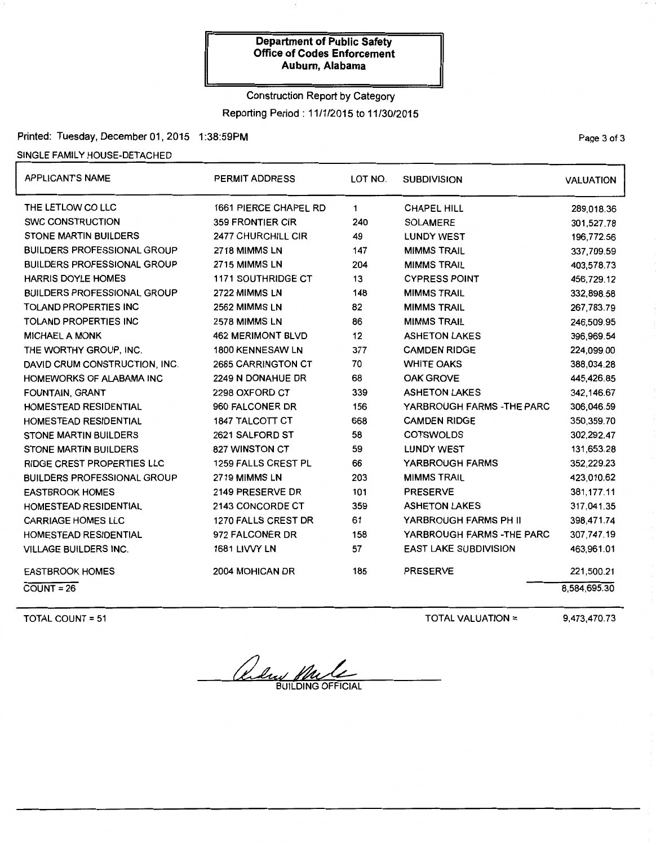# Construction Report by Category Reporting Period : 11/1/2015 to 11/30/2015

Printed: Tuesday, December 01, 2015 1:38:59PM

#### SINGLE FAMILY HOUSE-DETACHED

| <b>APPLICANT'S NAME</b>            | <b>PERMIT ADDRESS</b>      | LOT NO.     | <b>SUBDIVISION</b>           | <b>VALUATION</b> |
|------------------------------------|----------------------------|-------------|------------------------------|------------------|
| THE LETLOW CO LLC                  | 1661 PIERCE CHAPEL RD      | $\mathbf 1$ | <b>CHAPEL HILL</b>           | 289,018.36       |
| <b>SWC CONSTRUCTION</b>            | <b>359 FRONTIER CIR</b>    | 240         | <b>SOLAMERE</b>              | 301,527.78       |
| <b>STONE MARTIN BUILDERS</b>       | 2477 CHURCHILL CIR         | 49          | <b>LUNDY WEST</b>            | 196,772.56       |
| <b>BUILDERS PROFESSIONAL GROUP</b> | 2718 MIMMS LN              | 147         | <b>MIMMS TRAIL</b>           | 337.709.59       |
| <b>BUILDERS PROFESSIONAL GROUP</b> | 2715 MIMMS LN              | 204         | <b>MIMMS TRAIL</b>           | 403,578.73       |
| <b>HARRIS DOYLE HOMES</b>          | <b>1171 SOUTHRIDGE CT</b>  | 13          | <b>CYPRESS POINT</b>         | 456,729.12       |
| <b>BUILDERS PROFESSIONAL GROUP</b> | 2722 MIMMS LN              | 148         | <b>MIMMS TRAIL</b>           | 332,898.58       |
| <b>TOLAND PROPERTIES INC</b>       | 2562 MIMMS LN              | 82          | <b>MIMMS TRAIL</b>           | 267,783.79       |
| <b>TOLAND PROPERTIES INC</b>       | 2578 MIMMS LN              | 86          | <b>MIMMS TRAIL</b>           | 246,509.95       |
| <b>MICHAEL A MONK</b>              | <b>462 MERIMONT BLVD</b>   | 12          | <b>ASHETON LAKES</b>         | 396,969.54       |
| THE WORTHY GROUP, INC.             | 1800 KENNESAW LN           | 377         | <b>CAMDEN RIDGE</b>          | 224,099.00       |
| DAVID CRUM CONSTRUCTION, INC.      | 2685 CARRINGTON CT         | 70          | <b>WHITE OAKS</b>            | 388,034.28       |
| HOMEWORKS OF ALABAMA INC           | 2249 N DONAHUE DR          | 68          | <b>OAK GROVE</b>             | 445,426.85       |
| FOUNTAIN, GRANT                    | 2298 OXFORD CT             | 339         | <b>ASHETON LAKES</b>         | 342,146.67       |
| HOMESTEAD RESIDENTIAL              | 960 FALCONER DR            | 156         | YARBROUGH FARMS - THE PARC   | 306,046.59       |
| <b>HOMESTEAD RESIDENTIAL</b>       | <b>1847 TALCOTT CT</b>     | 668         | <b>CAMDEN RIDGE</b>          | 350,359.70       |
| <b>STONE MARTIN BUILDERS</b>       | 2621 SALFORD ST            | 58          | <b>COTSWOLDS</b>             | 302,292.47       |
| <b>STONE MARTIN BUILDERS</b>       | 827 WINSTON CT             | 59          | <b>LUNDY WEST</b>            | 131,653.28       |
| <b>RIDGE CREST PROPERTIES LLC</b>  | <b>1259 FALLS CREST PL</b> | 66          | YARBROUGH FARMS              | 352,229.23       |
| <b>BUILDERS PROFESSIONAL GROUP</b> | 2719 MIMMS LN              | 203         | <b>MIMMS TRAIL</b>           | 423,010.62       |
| <b>EASTBROOK HOMES</b>             | 2149 PRESERVE DR           | 101         | <b>PRESERVE</b>              | 381,177.11       |
| <b>HOMESTEAD RESIDENTIAL</b>       | 2143 CONCORDE CT           | 359         | <b>ASHETON LAKES</b>         | 317,041.35       |
| <b>CARRIAGE HOMES LLC</b>          | 1270 FALLS CREST DR        | 61          | YARBROUGH FARMS PH II        | 398,471.74       |
| <b>HOMESTEAD RESIDENTIAL</b>       | 972 FALCONER DR            | 158         | YARBROUGH FARMS - THE PARC   | 307,747.19       |
| <b>VILLAGE BUILDERS INC.</b>       | 1681 LIVVY LN              | 57          | <b>EAST LAKE SUBDIVISION</b> | 463,961.01       |
| <b>EASTBROOK HOMES</b>             | 2004 MOHICAN DR            | 185         | <b>PRESERVE</b>              | 221,500.21       |
| $COUNT = 26$                       |                            |             |                              | 8,584,695.30     |

TOTAL COUNT= 51

TOTAL VALUATION=

9,473,470.73

Quelus plus

PaQe 3 of 3